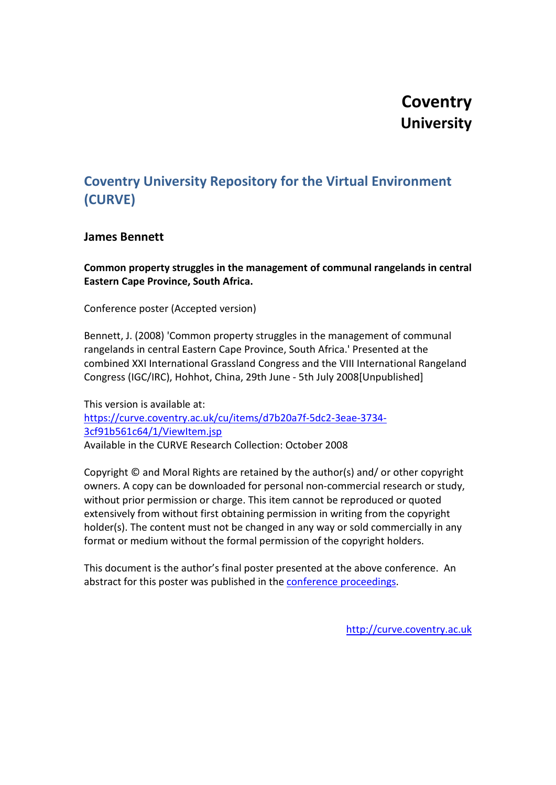#### **Coventry University**

#### **Coventry University Repository for the Virtual Environment (CURVE)**

#### **James Bennett**

**Common property struggles in the management of communal rangelands in central Eastern Cape Province, South Africa.**

Conference poster (Accepted version)

Bennett, J. (2008) 'Common property struggles in the management of communal rangelands in central Eastern Cape Province, South Africa.' Presented at the combined XXI International Grassland Congress and the VIII International Rangeland Congress (IGC/IRC), Hohhot, China, 29th June - 5th July 2008[Unpublished]

This version is available at: [https://curve.coventry.ac.uk/cu/items/d7b20a7f-5dc2-3eae-3734-](https://curve.coventry.ac.uk/cu/items/d7b20a7f-5dc2-3eae-3734-3cf91b561c64/1/ViewItem.jsp) [3cf91b561c64/1/ViewItem.jsp](https://curve.coventry.ac.uk/cu/items/d7b20a7f-5dc2-3eae-3734-3cf91b561c64/1/ViewItem.jsp) Available in the CURVE Research Collection: October 2008

Copyright © and Moral Rights are retained by the author(s) and/ or other copyright owners. A copy can be downloaded for personal non-commercial research or study, without prior permission or charge. This item cannot be reproduced or quoted extensively from without first obtaining permission in writing from the copyright holder(s). The content must not be changed in any way or sold commercially in any format or medium without the formal permission of the copyright holders.

This document is the author's final poster presented at the above conference. An abstract for this poster was published in the [conference proceedings.](http://www.rangelandcongress.com/ChinaCongress.htm)

[http://curve.coventry.ac.uk](http://curve.coventry.ac.uk/)